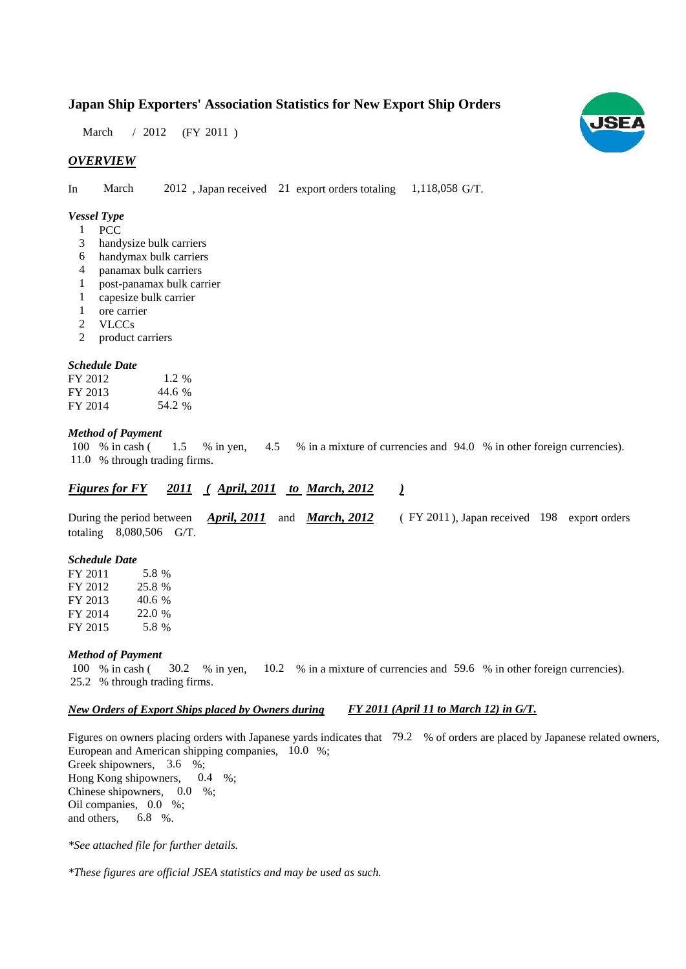### **Japan Ship Exporters' Association Statistics for New Export Ship Orders**

March / 2012 (FY 2011)

#### *OVERVIEW*

In March 2012, Japan received 21 export orders totaling 1,118,058 G/T.

#### *Vessel Type*

- **PCC** 1
- handysize bulk carriers 3
- handymax bulk carriers 6
- panamax bulk carriers 4
- post-panamax bulk carrier 1
- capesize bulk carrier 1
- ore carrier 1
- VLCCs 2
- product carriers 2

#### *Schedule Date*

| FY 2012 | 1.2 %  |
|---------|--------|
| FY 2013 | 44.6 % |
| FY 2014 | 54.2 % |

#### *Method of Payment*

% in cash ( $1.5$  % in yen,  $4.5$  % in a mixture of currencies and  $94.0$  % in other foreign currencies). % through trading firms. 11.0 1.5 4.5 100 % in cash (

#### *<u>Figures for FY 2011 (April, 2011 to March, 2012 )*</u>

During the period between *April, 2011* and *March, 2012* (FY 2011), Japan received 198 export orders totaling 8,080,506 G/T. *April, 2011* and *March, 2012* (FY 2011

#### *Schedule Date*

FY 2011 FY 2012 FY 2013 FY 2014 FY 2015 40.6 22.0 % 5.8 25.8 % 5.8 %

#### *Method of Payment*

% in cash ( $\frac{30.2}{8}$  in yen,  $\frac{10.2}{8}$  in a mixture of currencies and 59.6 % in other foreign currencies). % through trading firms. 25.2 100 % in cash (30.2 % in yen,

#### *New Orders of Export Ships placed by Owners during FY 2011 (April 11 to March 12) in G/T.*

Figures on owners placing orders with Japanese yards indicates that 79.2 % of orders are placed by Japanese related owners, European and American shipping companies,  $10.0\%$ ; Greek shipowners, 3.6 %; Hong Kong shipowners,  $0.4\%$ ; Chinese shipowners,  $0.0\%$ ; Oil companies, 0.0 %; and others, 6.8  $%$ 0.4

*\*See attached file for further details.*

*\*These figures are official JSEA statistics and may be used as such.*

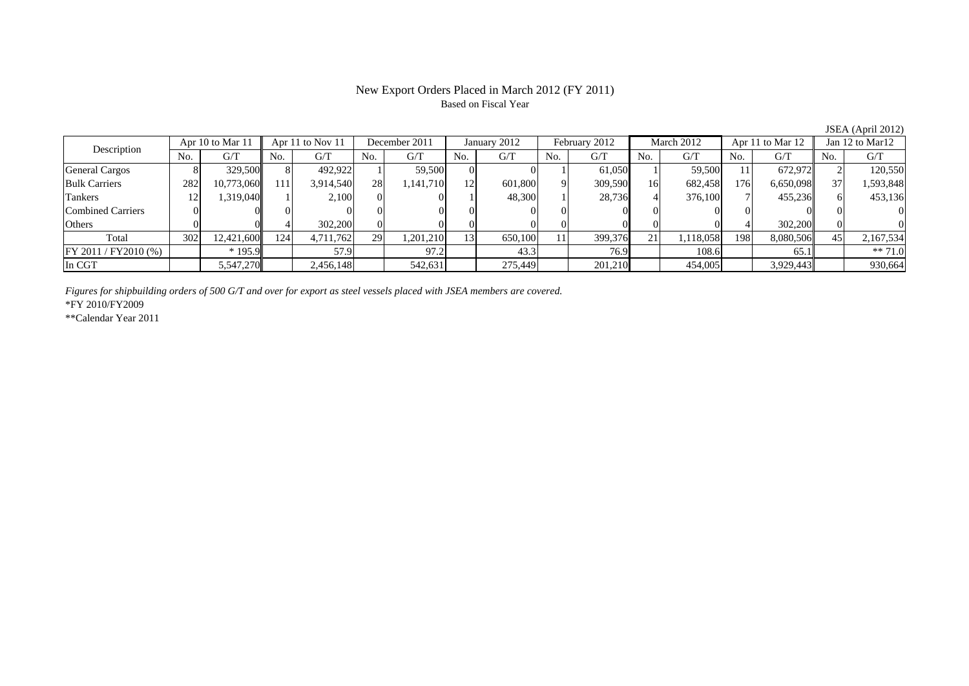## Based on Fiscal Year

JSEA (April 2012)<br>Jan 12 to Mar12 No. G/T No. G/T No. G/T No. G/T No. G/T No. G/T No. G/T No. G/TGeneral Cargos ( 8 329,500 8 492,922 1 59,500 0 0 1 61,050 1 59,500 11 672,972 2 120,550 Bulk Carriers | 282 10,773,060 111 3,914,540 28 1,141,710 12 601,800 9 309,590 16 682,458 176 6,650,098 37 1,593,848 Tankers | 12| 1,319,040|| 1| 2,100| 0| 1| 48,300| 1| 28,736| 4| 376,100| 7| 455,236|| 6| 453,136 Combined Carriers 0 0 0 0 0 0 0 0 0 0 0 0 0 0 0 0Others | 0| 0| 4| 302,200| 0| 0| 0| 0| 0| 0| 0| 4| 302,200|| 0| 0 Total 302 12,421,600 124 4,711,762 29 1,201,210 13 650,100 11 399,376 21 1,118,058 198 8,080,506 45 2,167,534 FY 2011 / FY2010 (%) | \* 195.9 | 57.9 | 97.2 | 43.3 | 76.9 | 108.6 | 65.1 | \*\* 71.0 In CGT 5,547,270 2,456,148 542,631 275,449 201,210 454,005 3,929,443 930,664 Description Apr 10 to Mar 11 Apr 11 to Nov 11 December 2011 January 2012<br>No. 1 G/T No. 1 G/T No. 1 G/T No. 1 G/T February 2012 March 2012 Apr 11 to Mar 12

*Figures for shipbuilding orders of 500 G/T and over for export as steel vessels placed with JSEA members are covered.*

\*FY 2010/FY2009

\*\*Calendar Year 2011

# New Export Orders Placed in March 2012 (FY 2011)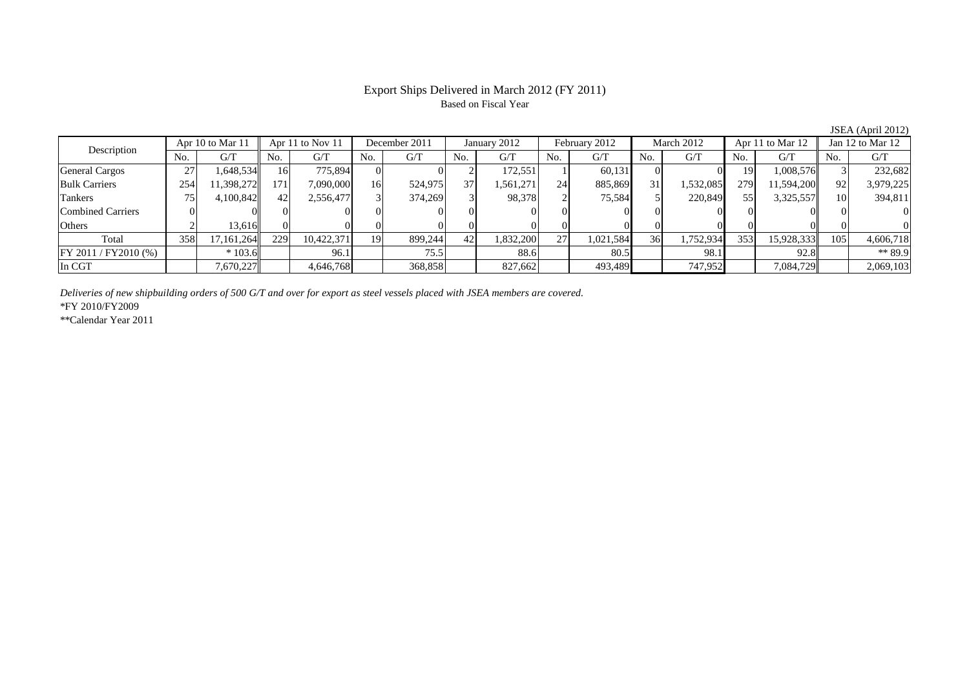#### Export Ships Delivered in March 2012 (FY 2011) Based on Fiscal Year

No. G/T No. G/T No. G/T No. G/T No. G/T No. G/T No. G/T No. G/T $G/T$ General Cargos ( 27 1,648,534 16 775,894 0 0 0 2 172,551 1 60,131 0 0 19 1,008,576 3 232,682 Bulk Carriers 254 11,398,272 171 7,090,000 16 524,975 37 1,561,271 24 885,869 31 1,532,085 279 11,594,200 92 3,979,225 Tankers | 75 | 4,100,842|| 42| 2,556,477| 3| 374,269| 3| 98,378| 2| 75,584| 5| 220,849| 55| 3,325,557|| 10| 394,811 Combined Carriers 0 0 0 0 0 0 0 0 0 0 0 0 0 0 0 0Others 2 13,616 0 0 0 0 0 0 0 0 0 0 0 0 0 0 Total 358 17,161,264 229 10,422,371 19 899,244 42 1,832,200 27 1,021,584 36 1,752,934 353 15,928,333 105 4,606,718 FY 2011 / FY2010 (%) \* 103.6 96.1 75.5 88.6 80.5 98.1 92.8 \*\* 89.9 In CGT | | 7,670,227|| | 4,646,768 | 368,858 | | 827,662 | | 493,489 | | 747,952 | | 7,084,729|| | 2,069,103 Description Apr 10 to Mar 11 Apr 11 to Nov 11 December 2011 January 2012 February 2012 March 2012 Apr 11 to Mar 12 Jan 12 to Mar 12 February 2012 March 2012 Apr 11 to Mar 12

*Deliveries of new shipbuilding orders of 500 G/T and over for export as steel vessels placed with JSEA members are covered.*

\*FY 2010/FY2009

\*\*Calendar Year 2011

JSEA (April 2012)